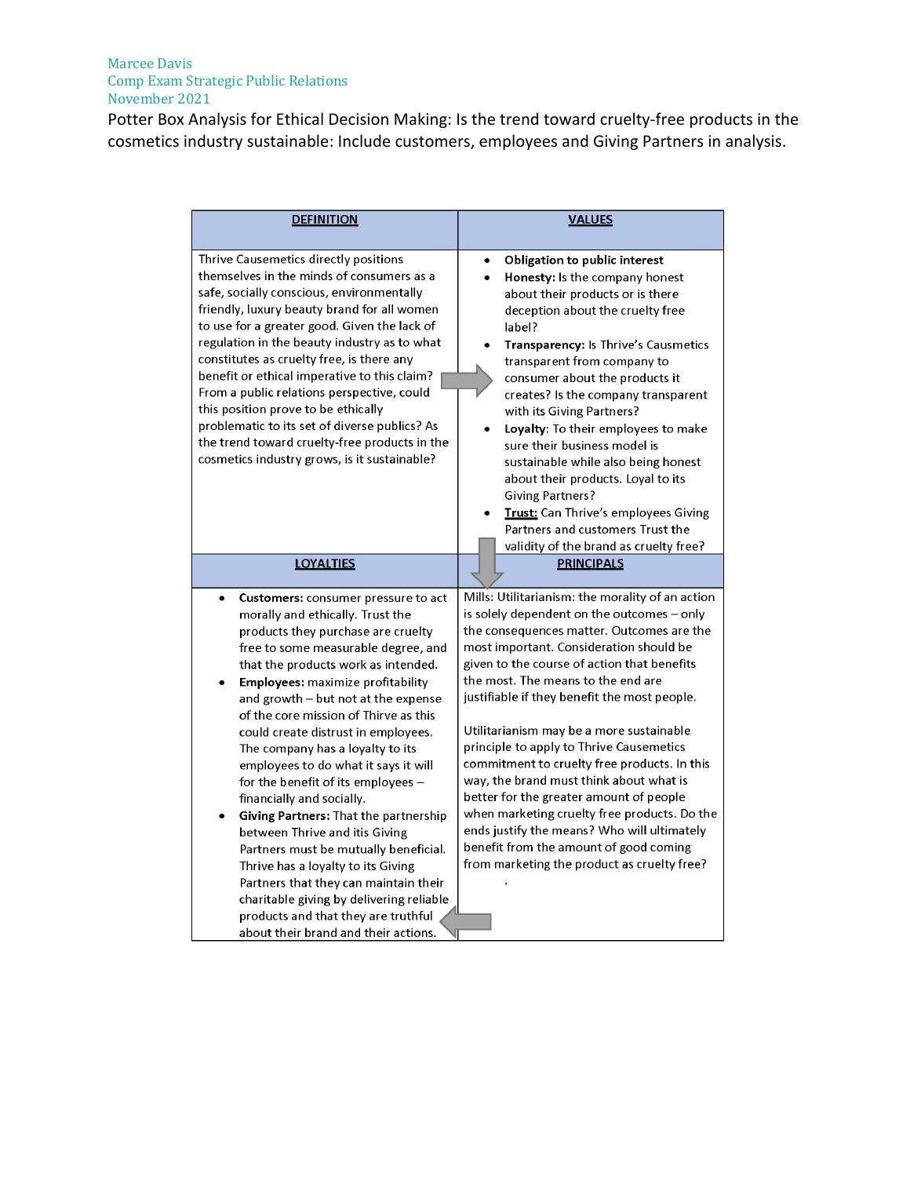## Marcee Davis Comp Exam Strategic Public Relations November 2021

Potter Box Analysis for Ethical Decision Making: Is the trend toward cruelty-free products in the cosmetics industry sustainable: Include customers, employees and Giving Partners in analysis.

| <b>DEFINITION</b>                                                                                                                                                                                                                                                                                                                                                                                                                                                                                                                                                                                                                                                                                                                                                                                                                                   | <b>VALUES</b>                                                                                                                                                                                                                                                                                                                                                                                                                                                                                                                                                                                                                                                                                                                                     |
|-----------------------------------------------------------------------------------------------------------------------------------------------------------------------------------------------------------------------------------------------------------------------------------------------------------------------------------------------------------------------------------------------------------------------------------------------------------------------------------------------------------------------------------------------------------------------------------------------------------------------------------------------------------------------------------------------------------------------------------------------------------------------------------------------------------------------------------------------------|---------------------------------------------------------------------------------------------------------------------------------------------------------------------------------------------------------------------------------------------------------------------------------------------------------------------------------------------------------------------------------------------------------------------------------------------------------------------------------------------------------------------------------------------------------------------------------------------------------------------------------------------------------------------------------------------------------------------------------------------------|
| Thrive Causemetics directly positions<br>themselves in the minds of consumers as a<br>safe, socially conscious, environmentally<br>friendly, luxury beauty brand for all women<br>to use for a greater good. Given the lack of<br>regulation in the beauty industry as to what<br>constitutes as cruelty free, is there any<br>benefit or ethical imperative to this claim?<br>From a public relations perspective, could<br>this position prove to be ethically<br>problematic to its set of diverse publics? As<br>the trend toward cruelty-free products in the<br>cosmetics industry grows, is it sustainable?                                                                                                                                                                                                                                  | Obligation to public interest<br>Honesty: Is the company honest<br>about their products or is there<br>deception about the cruelty free<br>label?<br>Transparency: Is Thrive's Causmetics<br>transparent from company to<br>consumer about the products it<br>creates? Is the company transparent<br>with its Giving Partners?<br>Loyalty: To their employees to make<br>sure their business model is<br>sustainable while also being honest<br>about their products. Loyal to its<br><b>Giving Partners?</b><br><b>Trust:</b> Can Thrive's employees Giving<br>Partners and customers Trust the<br>validity of the brand as cruelty free?                                                                                                        |
| <b>LOYALTIES</b>                                                                                                                                                                                                                                                                                                                                                                                                                                                                                                                                                                                                                                                                                                                                                                                                                                    | <b>PRINCIPALS</b>                                                                                                                                                                                                                                                                                                                                                                                                                                                                                                                                                                                                                                                                                                                                 |
| Customers: consumer pressure to act<br>$\bullet$<br>morally and ethically. Trust the<br>products they purchase are cruelty<br>free to some measurable degree, and<br>that the products work as intended.<br>Employees: maximize profitability<br>and growth $-$ but not at the expense<br>of the core mission of Thirve as this<br>could create distrust in employees.<br>The company has a loyalty to its<br>employees to do what it says it will<br>for the benefit of its employees -<br>financially and socially.<br>Giving Partners: That the partnership<br>between Thrive and itis Giving<br>Partners must be mutually beneficial.<br>Thrive has a loyalty to its Giving<br>Partners that they can maintain their<br>charitable giving by delivering reliable<br>products and that they are truthful<br>about their brand and their actions. | Mills: Utilitarianism: the morality of an action<br>is solely dependent on the outcomes - only<br>the consequences matter. Outcomes are the<br>most important. Consideration should be<br>given to the course of action that benefits<br>the most. The means to the end are<br>justifiable if they benefit the most people.<br>Utilitarianism may be a more sustainable<br>principle to apply to Thrive Causemetics<br>commitment to cruelty free products. In this<br>way, the brand must think about what is<br>better for the greater amount of people<br>when marketing cruelty free products. Do the<br>ends justify the means? Who will ultimately<br>benefit from the amount of good coming<br>from marketing the product as cruelty free? |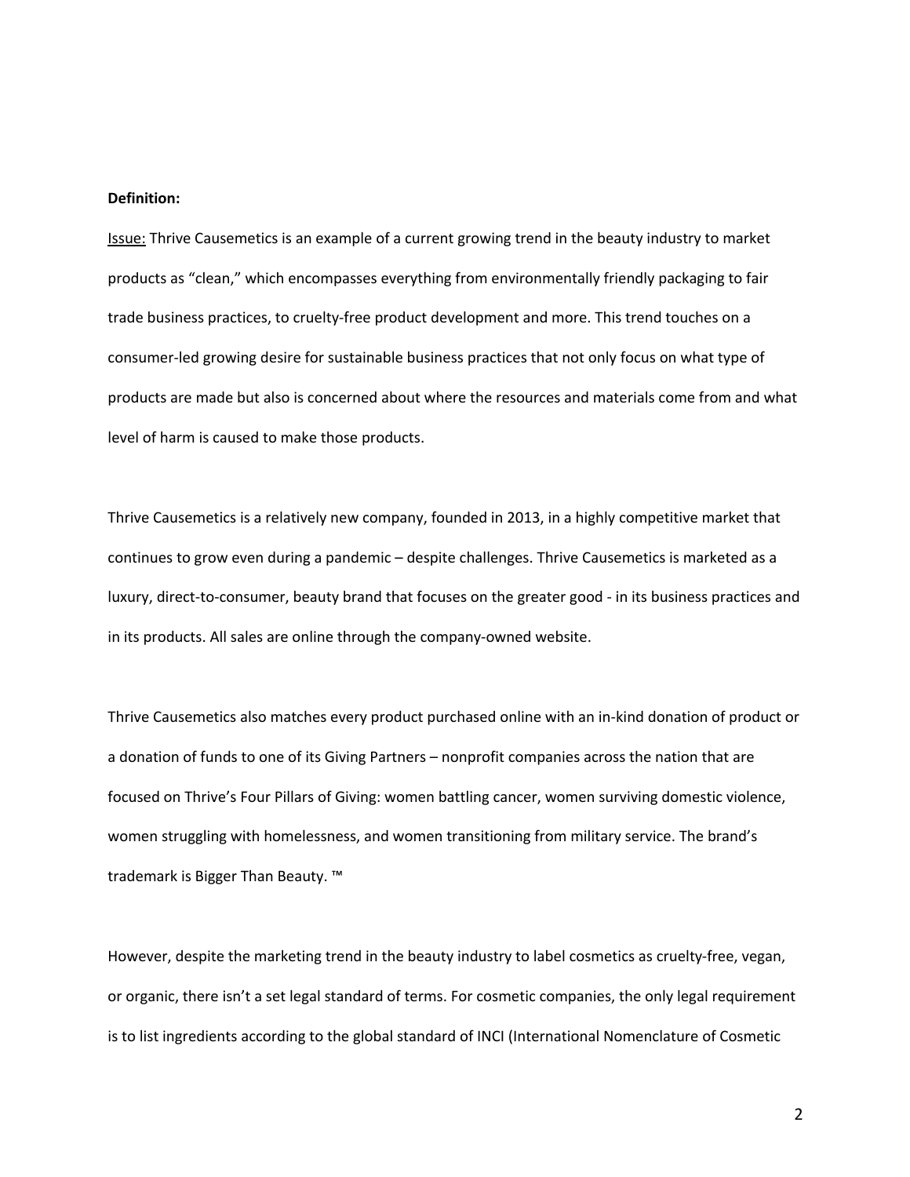## **Definition:**

Issue: Thrive Causemetics is an example of a current growing trend in the beauty industry to market products as "clean," which encompasses everything from environmentally friendly packaging to fair trade business practices, to cruelty-free product development and more. This trend touches on a consumer-led growing desire for sustainable business practices that not only focus on what type of products are made but also is concerned about where the resources and materials come from and what level of harm is caused to make those products.

Thrive Causemetics is a relatively new company, founded in 2013, in a highly competitive market that continues to grow even during a pandemic – despite challenges. Thrive Causemetics is marketed as a luxury, direct-to-consumer, beauty brand that focuses on the greater good - in its business practices and in its products. All sales are online through the company-owned website.

Thrive Causemetics also matches every product purchased online with an in-kind donation of product or a donation of funds to one of its Giving Partners – nonprofit companies across the nation that are focused on Thrive's Four Pillars of Giving: women battling cancer, women surviving domestic violence, women struggling with homelessness, and women transitioning from military service. The brand's trademark is Bigger Than Beauty. ™

However, despite the marketing trend in the beauty industry to label cosmetics as cruelty-free, vegan, or organic, there isn't a set legal standard of terms. For cosmetic companies, the only legal requirement is to list ingredients according to the global standard of INCI (International Nomenclature of Cosmetic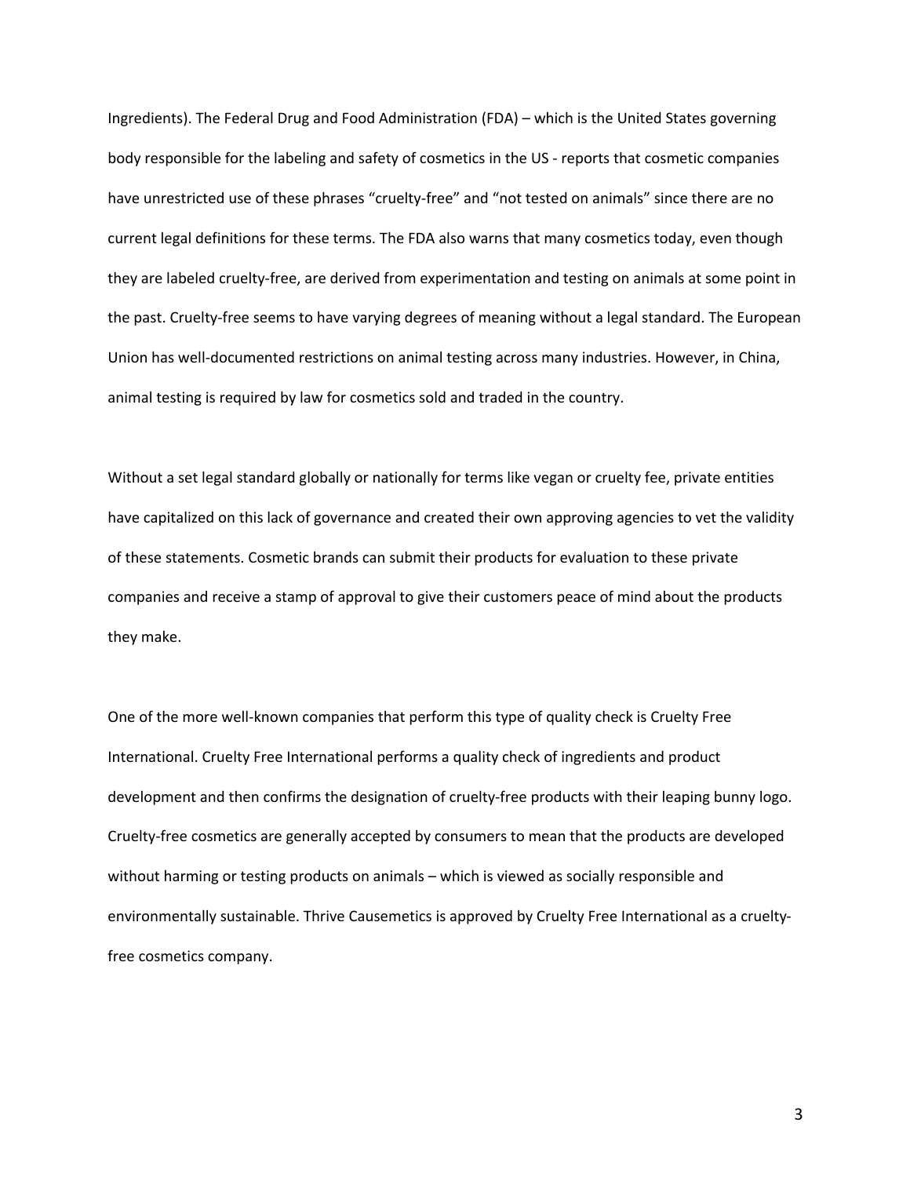Ingredients). The Federal Drug and Food Administration (FDA) – which is the United States governing body responsible for the labeling and safety of cosmetics in the US - reports that cosmetic companies have unrestricted use of these phrases "cruelty-free" and "not tested on animals" since there are no current legal definitions for these terms. The FDA also warns that many cosmetics today, even though they are labeled cruelty-free, are derived from experimentation and testing on animals at some point in the past. Cruelty-free seems to have varying degrees of meaning without a legal standard. The European Union has well-documented restrictions on animal testing across many industries. However, in China, animal testing is required by law for cosmetics sold and traded in the country.

Without a set legal standard globally or nationally for terms like vegan or cruelty fee, private entities have capitalized on this lack of governance and created their own approving agencies to vet the validity of these statements. Cosmetic brands can submit their products for evaluation to these private companies and receive a stamp of approval to give their customers peace of mind about the products they make.

One of the more well-known companies that perform this type of quality check is Cruelty Free International. Cruelty Free International performs a quality check of ingredients and product development and then confirms the designation of cruelty-free products with their leaping bunny logo. Cruelty-free cosmetics are generally accepted by consumers to mean that the products are developed without harming or testing products on animals – which is viewed as socially responsible and environmentally sustainable. Thrive Causemetics is approved by Cruelty Free International as a crueltyfree cosmetics company.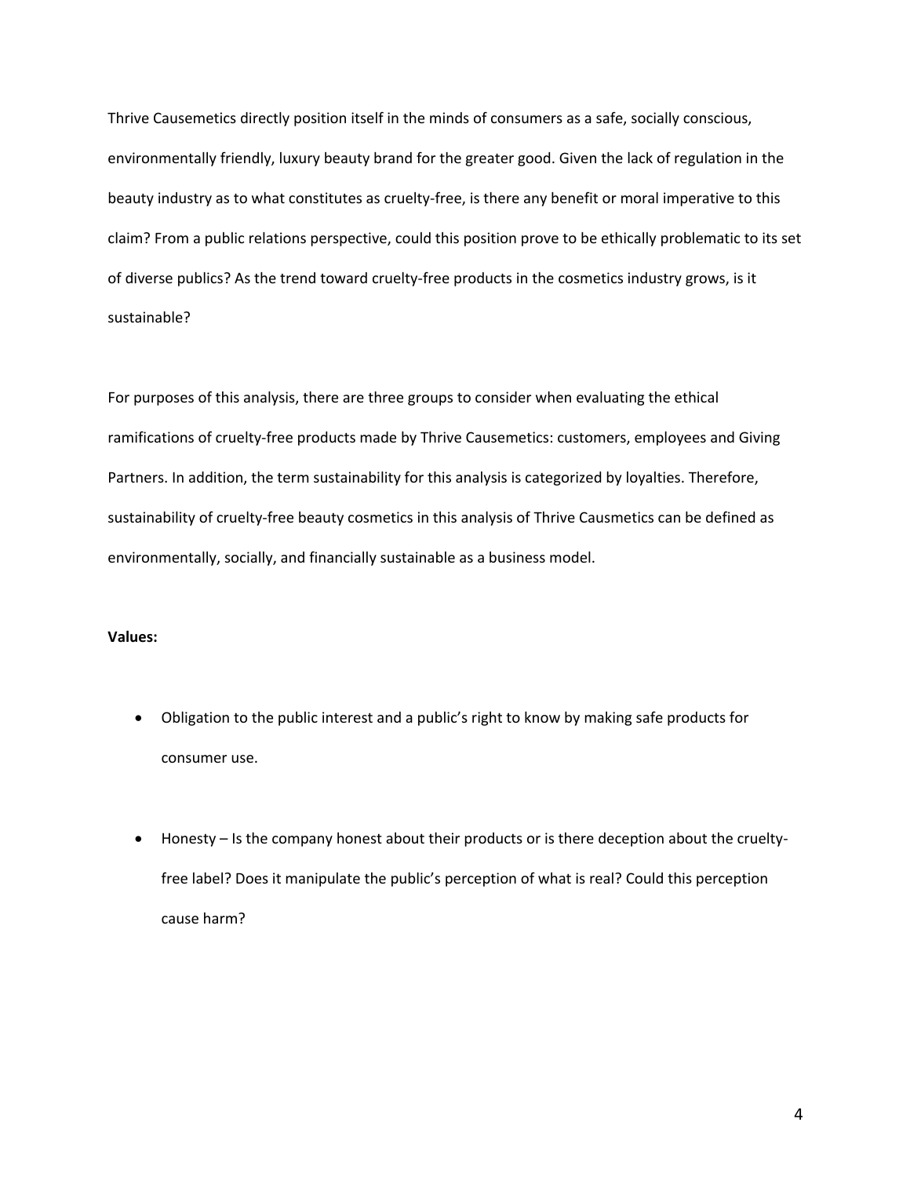Thrive Causemetics directly position itself in the minds of consumers as a safe, socially conscious, environmentally friendly, luxury beauty brand for the greater good. Given the lack of regulation in the beauty industry as to what constitutes as cruelty-free, is there any benefit or moral imperative to this claim? From a public relations perspective, could this position prove to be ethically problematic to its set of diverse publics? As the trend toward cruelty-free products in the cosmetics industry grows, is it sustainable?

For purposes of this analysis, there are three groups to consider when evaluating the ethical ramifications of cruelty-free products made by Thrive Causemetics: customers, employees and Giving Partners. In addition, the term sustainability for this analysis is categorized by loyalties. Therefore, sustainability of cruelty-free beauty cosmetics in this analysis of Thrive Causmetics can be defined as environmentally, socially, and financially sustainable as a business model.

# **Values:**

- Obligation to the public interest and a public's right to know by making safe products for consumer use.
- Honesty Is the company honest about their products or is there deception about the crueltyfree label? Does it manipulate the public's perception of what is real? Could this perception cause harm?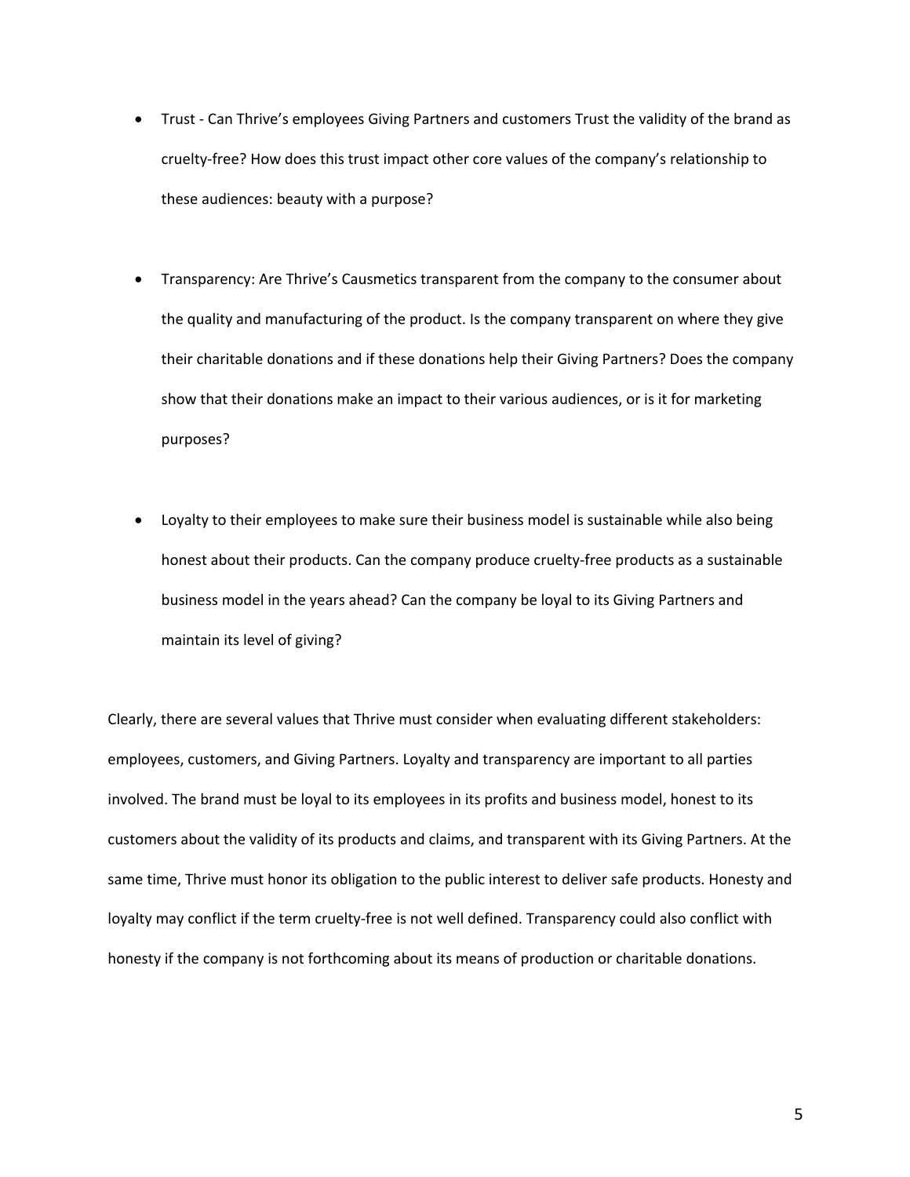- Trust Can Thrive's employees Giving Partners and customers Trust the validity of the brand as cruelty-free? How does this trust impact other core values of the company's relationship to these audiences: beauty with a purpose?
- Transparency: Are Thrive's Causmetics transparent from the company to the consumer about the quality and manufacturing of the product. Is the company transparent on where they give their charitable donations and if these donations help their Giving Partners? Does the company show that their donations make an impact to their various audiences, or is it for marketing purposes?
- Loyalty to their employees to make sure their business model is sustainable while also being honest about their products. Can the company produce cruelty-free products as a sustainable business model in the years ahead? Can the company be loyal to its Giving Partners and maintain its level of giving?

Clearly, there are several values that Thrive must consider when evaluating different stakeholders: employees, customers, and Giving Partners. Loyalty and transparency are important to all parties involved. The brand must be loyal to its employees in its profits and business model, honest to its customers about the validity of its products and claims, and transparent with its Giving Partners. At the same time, Thrive must honor its obligation to the public interest to deliver safe products. Honesty and loyalty may conflict if the term cruelty-free is not well defined. Transparency could also conflict with honesty if the company is not forthcoming about its means of production or charitable donations.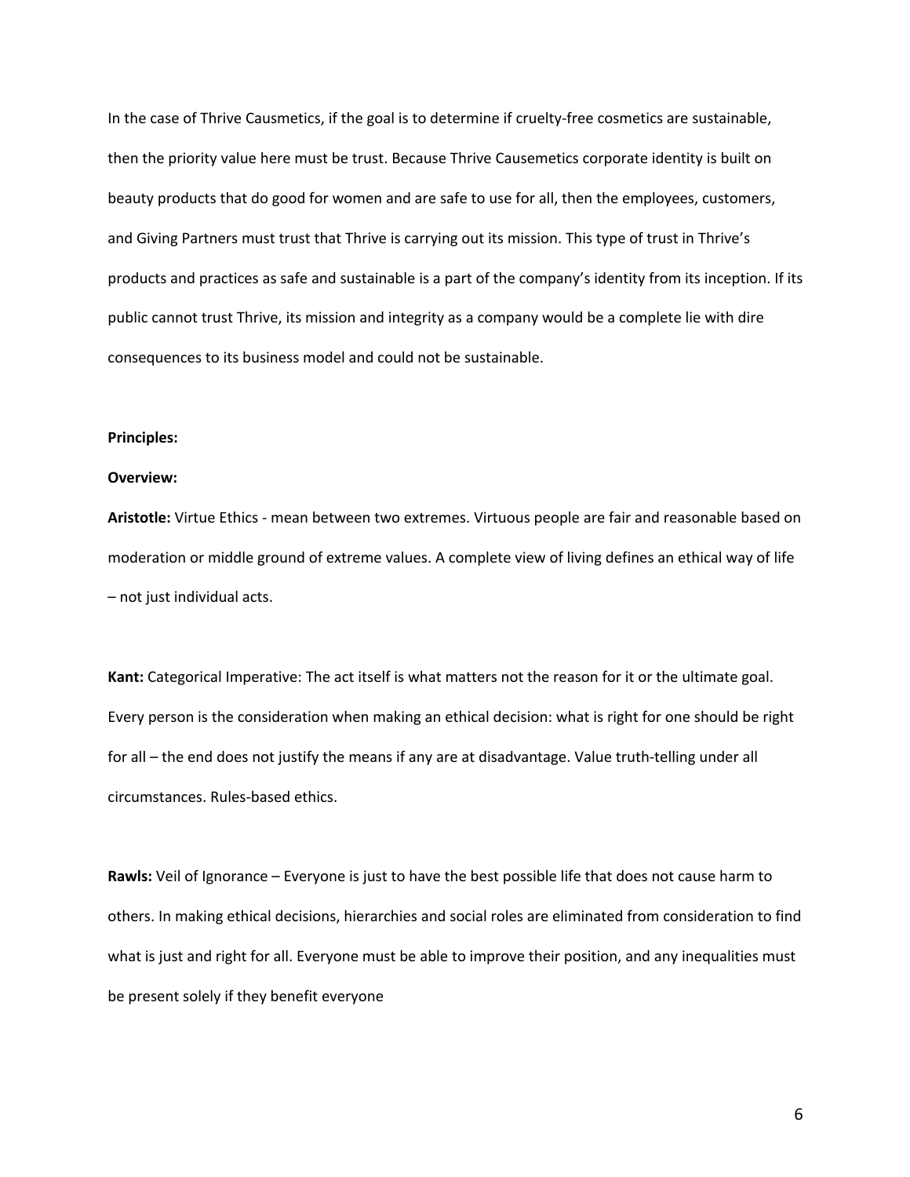In the case of Thrive Causmetics, if the goal is to determine if cruelty-free cosmetics are sustainable, then the priority value here must be trust. Because Thrive Causemetics corporate identity is built on beauty products that do good for women and are safe to use for all, then the employees, customers, and Giving Partners must trust that Thrive is carrying out its mission. This type of trust in Thrive's products and practices as safe and sustainable is a part of the company's identity from its inception. If its public cannot trust Thrive, its mission and integrity as a company would be a complete lie with dire consequences to its business model and could not be sustainable.

### **Principles:**

#### **Overview:**

**Aristotle:** Virtue Ethics - mean between two extremes. Virtuous people are fair and reasonable based on moderation or middle ground of extreme values. A complete view of living defines an ethical way of life – not just individual acts.

**Kant:** Categorical Imperative: The act itself is what matters not the reason for it or the ultimate goal. Every person is the consideration when making an ethical decision: what is right for one should be right for all – the end does not justify the means if any are at disadvantage. Value truth-telling under all circumstances. Rules-based ethics.

**Rawls:** Veil of Ignorance – Everyone is just to have the best possible life that does not cause harm to others. In making ethical decisions, hierarchies and social roles are eliminated from consideration to find what is just and right for all. Everyone must be able to improve their position, and any inequalities must be present solely if they benefit everyone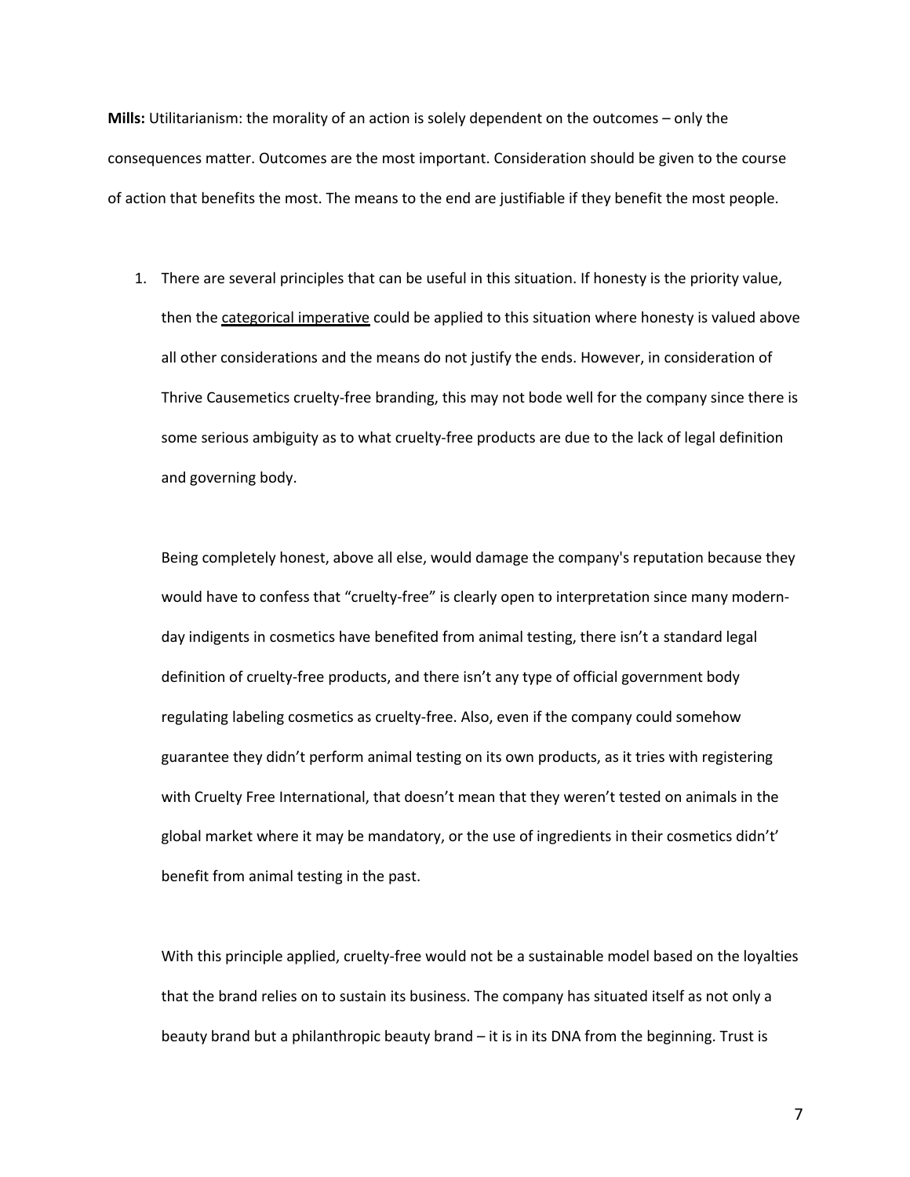**Mills:** Utilitarianism: the morality of an action is solely dependent on the outcomes – only the consequences matter. Outcomes are the most important. Consideration should be given to the course of action that benefits the most. The means to the end are justifiable if they benefit the most people.

1. There are several principles that can be useful in this situation. If honesty is the priority value, then the categorical imperative could be applied to this situation where honesty is valued above all other considerations and the means do not justify the ends. However, in consideration of Thrive Causemetics cruelty-free branding, this may not bode well for the company since there is some serious ambiguity as to what cruelty-free products are due to the lack of legal definition and governing body.

Being completely honest, above all else, would damage the company's reputation because they would have to confess that "cruelty-free" is clearly open to interpretation since many modernday indigents in cosmetics have benefited from animal testing, there isn't a standard legal definition of cruelty-free products, and there isn't any type of official government body regulating labeling cosmetics as cruelty-free. Also, even if the company could somehow guarantee they didn't perform animal testing on its own products, as it tries with registering with Cruelty Free International, that doesn't mean that they weren't tested on animals in the global market where it may be mandatory, or the use of ingredients in their cosmetics didn't' benefit from animal testing in the past.

With this principle applied, cruelty-free would not be a sustainable model based on the loyalties that the brand relies on to sustain its business. The company has situated itself as not only a beauty brand but a philanthropic beauty brand – it is in its DNA from the beginning. Trust is

7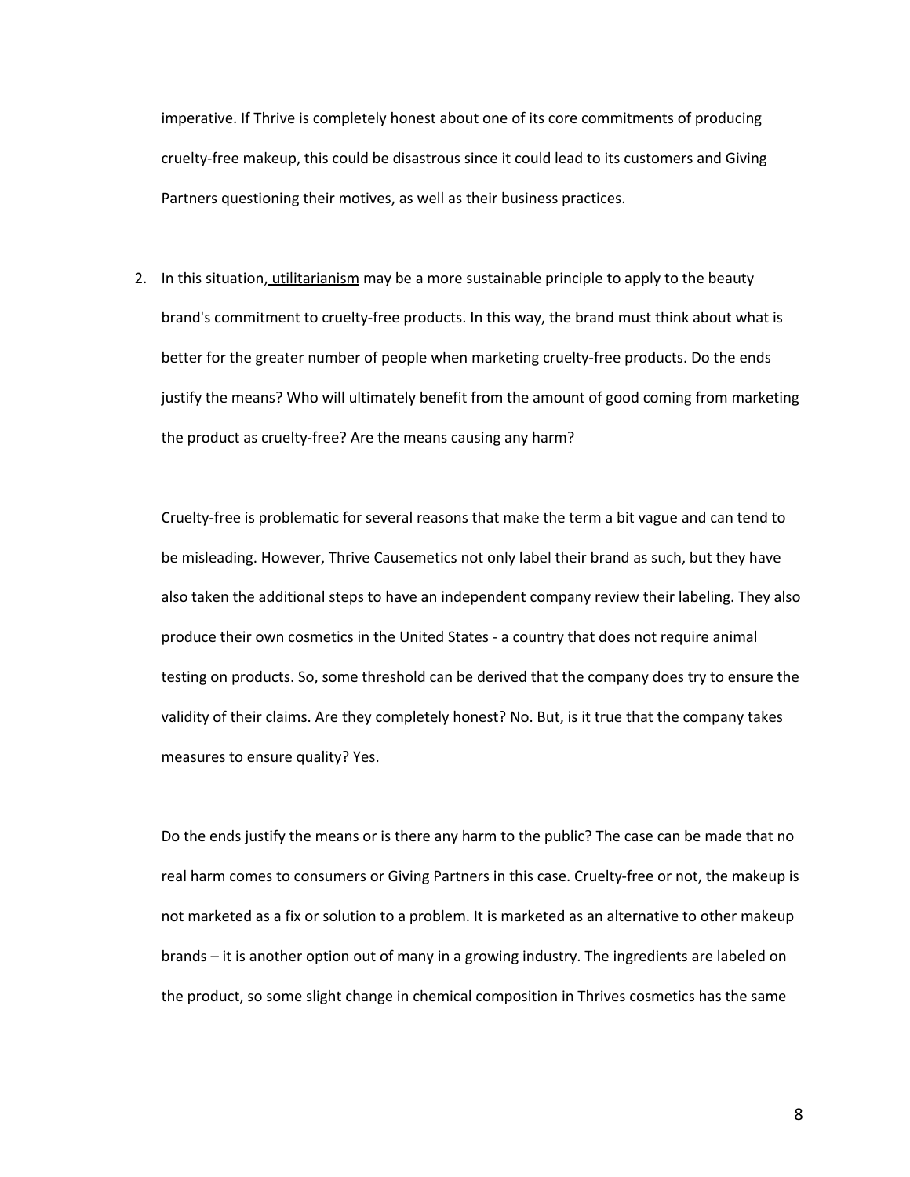imperative. If Thrive is completely honest about one of its core commitments of producing cruelty-free makeup, this could be disastrous since it could lead to its customers and Giving Partners questioning their motives, as well as their business practices.

2. In this situation, utilitarianism may be a more sustainable principle to apply to the beauty brand's commitment to cruelty-free products. In this way, the brand must think about what is better for the greater number of people when marketing cruelty-free products. Do the ends justify the means? Who will ultimately benefit from the amount of good coming from marketing the product as cruelty-free? Are the means causing any harm?

Cruelty-free is problematic for several reasons that make the term a bit vague and can tend to be misleading. However, Thrive Causemetics not only label their brand as such, but they have also taken the additional steps to have an independent company review their labeling. They also produce their own cosmetics in the United States - a country that does not require animal testing on products. So, some threshold can be derived that the company does try to ensure the validity of their claims. Are they completely honest? No. But, is it true that the company takes measures to ensure quality? Yes.

Do the ends justify the means or is there any harm to the public? The case can be made that no real harm comes to consumers or Giving Partners in this case. Cruelty-free or not, the makeup is not marketed as a fix or solution to a problem. It is marketed as an alternative to other makeup brands – it is another option out of many in a growing industry. The ingredients are labeled on the product, so some slight change in chemical composition in Thrives cosmetics has the same

8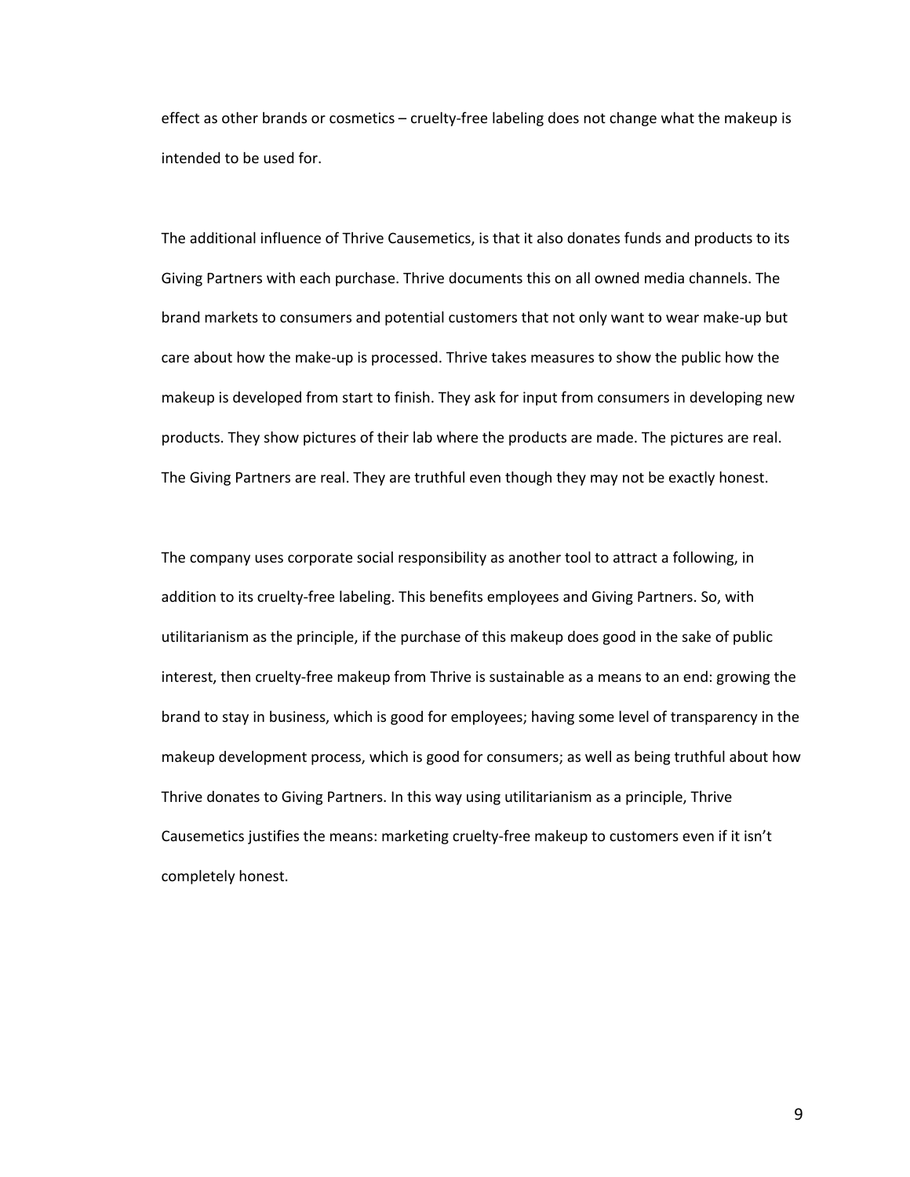effect as other brands or cosmetics – cruelty-free labeling does not change what the makeup is intended to be used for.

The additional influence of Thrive Causemetics, is that it also donates funds and products to its Giving Partners with each purchase. Thrive documents this on all owned media channels. The brand markets to consumers and potential customers that not only want to wear make-up but care about how the make-up is processed. Thrive takes measures to show the public how the makeup is developed from start to finish. They ask for input from consumers in developing new products. They show pictures of their lab where the products are made. The pictures are real. The Giving Partners are real. They are truthful even though they may not be exactly honest.

The company uses corporate social responsibility as another tool to attract a following, in addition to its cruelty-free labeling. This benefits employees and Giving Partners. So, with utilitarianism as the principle, if the purchase of this makeup does good in the sake of public interest, then cruelty-free makeup from Thrive is sustainable as a means to an end: growing the brand to stay in business, which is good for employees; having some level of transparency in the makeup development process, which is good for consumers; as well as being truthful about how Thrive donates to Giving Partners. In this way using utilitarianism as a principle, Thrive Causemetics justifies the means: marketing cruelty-free makeup to customers even if it isn't completely honest.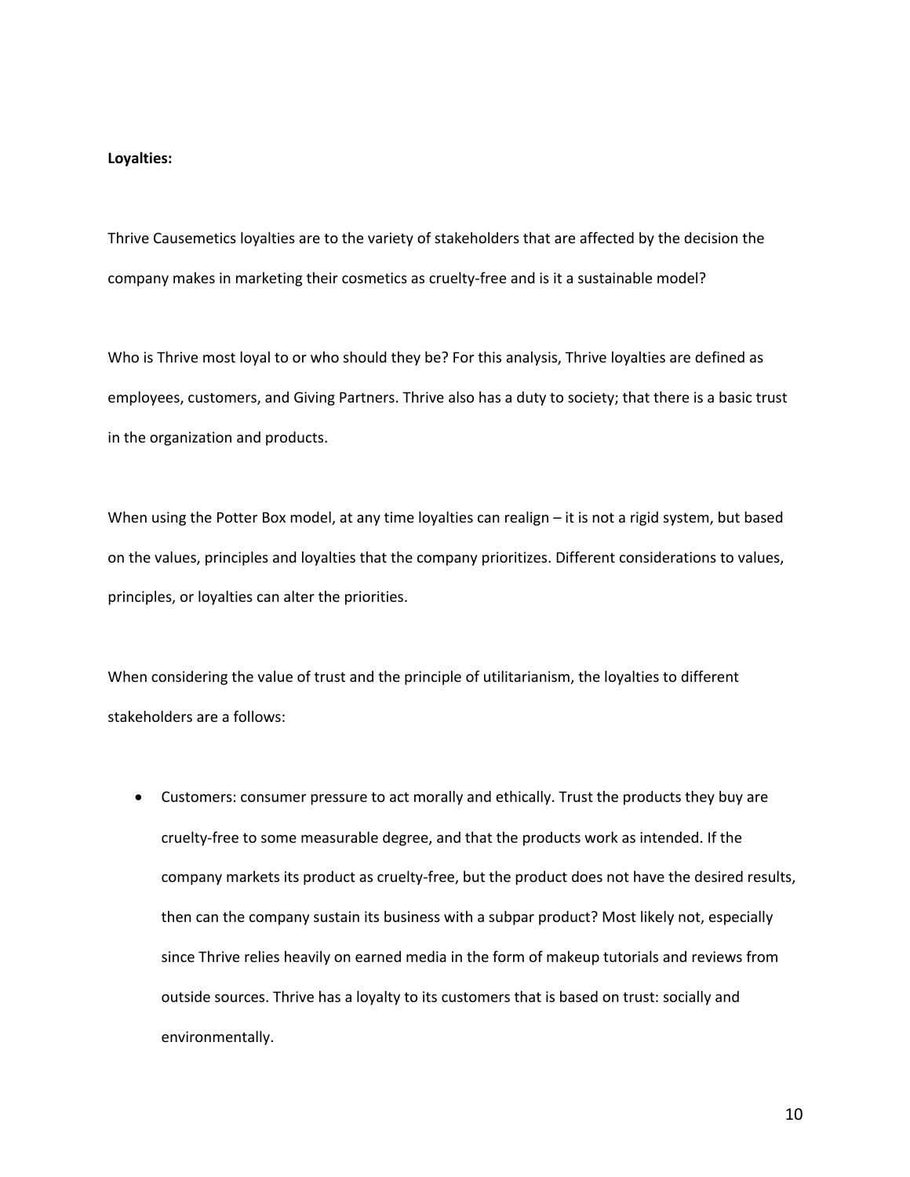### **Loyalties:**

Thrive Causemetics loyalties are to the variety of stakeholders that are affected by the decision the company makes in marketing their cosmetics as cruelty-free and is it a sustainable model?

Who is Thrive most loyal to or who should they be? For this analysis, Thrive loyalties are defined as employees, customers, and Giving Partners. Thrive also has a duty to society; that there is a basic trust in the organization and products.

When using the Potter Box model, at any time loyalties can realign – it is not a rigid system, but based on the values, principles and loyalties that the company prioritizes. Different considerations to values, principles, or loyalties can alter the priorities.

When considering the value of trust and the principle of utilitarianism, the loyalties to different stakeholders are a follows:

• Customers: consumer pressure to act morally and ethically. Trust the products they buy are cruelty-free to some measurable degree, and that the products work as intended. If the company markets its product as cruelty-free, but the product does not have the desired results, then can the company sustain its business with a subpar product? Most likely not, especially since Thrive relies heavily on earned media in the form of makeup tutorials and reviews from outside sources. Thrive has a loyalty to its customers that is based on trust: socially and environmentally.

10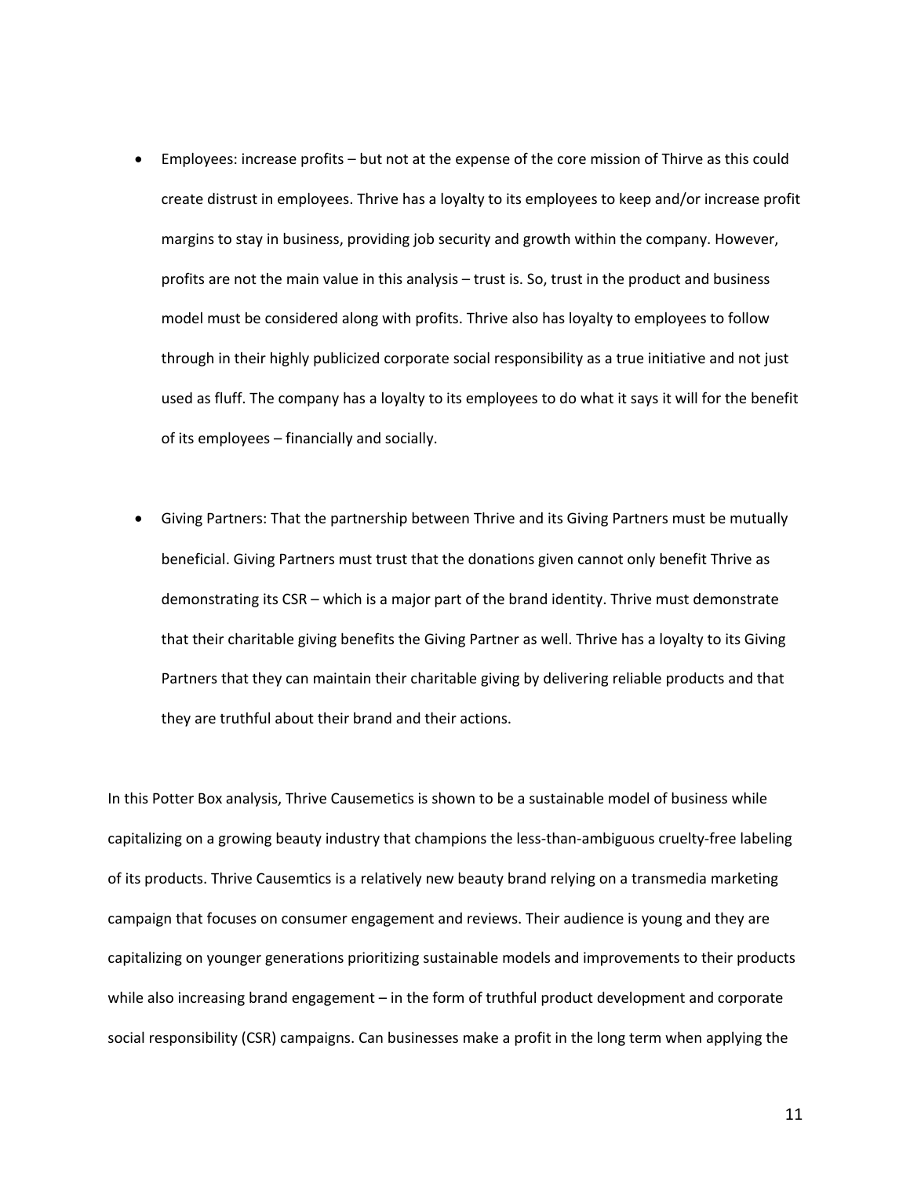- Employees: increase profits but not at the expense of the core mission of Thirve as this could create distrust in employees. Thrive has a loyalty to its employees to keep and/or increase profit margins to stay in business, providing job security and growth within the company. However, profits are not the main value in this analysis – trust is. So, trust in the product and business model must be considered along with profits. Thrive also has loyalty to employees to follow through in their highly publicized corporate social responsibility as a true initiative and not just used as fluff. The company has a loyalty to its employees to do what it says it will for the benefit of its employees – financially and socially.
- Giving Partners: That the partnership between Thrive and its Giving Partners must be mutually beneficial. Giving Partners must trust that the donations given cannot only benefit Thrive as demonstrating its CSR – which is a major part of the brand identity. Thrive must demonstrate that their charitable giving benefits the Giving Partner as well. Thrive has a loyalty to its Giving Partners that they can maintain their charitable giving by delivering reliable products and that they are truthful about their brand and their actions.

In this Potter Box analysis, Thrive Causemetics is shown to be a sustainable model of business while capitalizing on a growing beauty industry that champions the less-than-ambiguous cruelty-free labeling of its products. Thrive Causemtics is a relatively new beauty brand relying on a transmedia marketing campaign that focuses on consumer engagement and reviews. Their audience is young and they are capitalizing on younger generations prioritizing sustainable models and improvements to their products while also increasing brand engagement – in the form of truthful product development and corporate social responsibility (CSR) campaigns. Can businesses make a profit in the long term when applying the